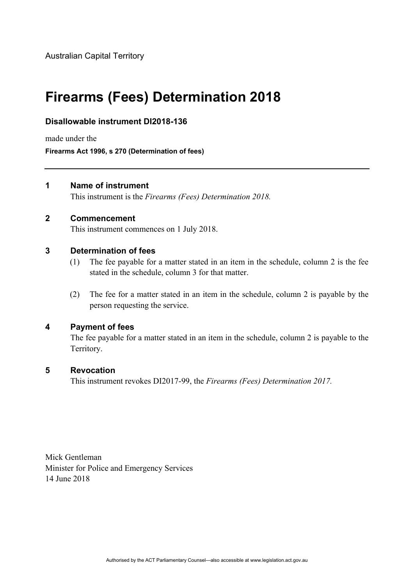# **Firearms (Fees) Determination 2018**

# **Disallowable instrument DI2018-136**

made under the

**Firearms Act 1996, s 270 (Determination of fees)** 

#### **1 Name of instrument**

This instrument is the *Firearms (Fees) Determination 2018.* 

# **2 Commencement**

This instrument commences on 1 July 2018.

#### **3 Determination of fees**

- (1) The fee payable for a matter stated in an item in the schedule, column 2 is the fee stated in the schedule, column 3 for that matter.
- (2) The fee for a matter stated in an item in the schedule, column 2 is payable by the person requesting the service.

#### **4 Payment of fees**

The fee payable for a matter stated in an item in the schedule, column 2 is payable to the Territory.

# **5 Revocation**

This instrument revokes DI2017-99, the *Firearms (Fees) Determination 2017.* 

Mick Gentleman Minister for Police and Emergency Services 14 June 2018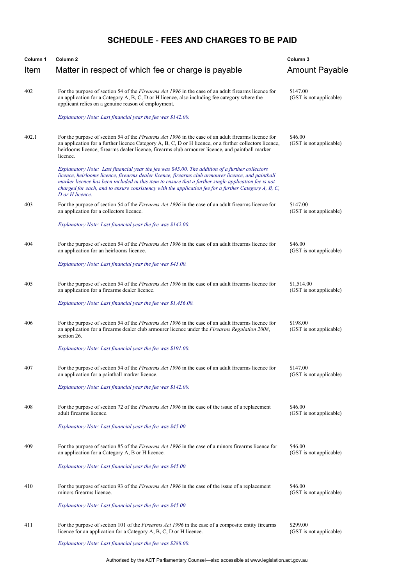# **SCHEDULE** - **FEES AND CHARGES TO BE PAID**

| Column <sub>1</sub> | Column <sub>2</sub>                                                                                                                                                                                                                                                                                                                                                                                                                      | Column 3                              |
|---------------------|------------------------------------------------------------------------------------------------------------------------------------------------------------------------------------------------------------------------------------------------------------------------------------------------------------------------------------------------------------------------------------------------------------------------------------------|---------------------------------------|
| Item                | Matter in respect of which fee or charge is payable                                                                                                                                                                                                                                                                                                                                                                                      | <b>Amount Payable</b>                 |
| 402                 | For the purpose of section 54 of the <i>Firearms Act 1996</i> in the case of an adult firearms licence for<br>an application for a Category A, B, C, D or H licence, also including fee category where the<br>applicant relies on a genuine reason of employment.                                                                                                                                                                        | \$147.00<br>(GST is not applicable)   |
|                     | Explanatory Note: Last financial year the fee was \$142.00.                                                                                                                                                                                                                                                                                                                                                                              |                                       |
| 402.1               | For the purpose of section 54 of the <i>Firearms Act 1996</i> in the case of an adult firearms licence for<br>an application for a further licence Category A, B, C, D or H licence, or a further collectors licence,<br>heirlooms licence, firearms dealer licence, firearms club armourer licence, and paintball marker<br>licence.                                                                                                    | \$46.00<br>(GST is not applicable)    |
|                     | Explanatory Note: Last financial year the fee was \$45.00. The addition of a further collectors<br>licence, heirlooms licence, firearms dealer licence, firearms club armourer licence, and paintball<br>marker licence has been included in this item to ensure that a further single application fee is not<br>charged for each, and to ensure consistency with the application fee for a further Category A, B, C,<br>D or H licence. |                                       |
| 403                 | For the purpose of section 54 of the Firearms Act 1996 in the case of an adult firearms licence for<br>an application for a collectors licence.                                                                                                                                                                                                                                                                                          | \$147.00<br>(GST is not applicable)   |
|                     | Explanatory Note: Last financial year the fee was \$142.00.                                                                                                                                                                                                                                                                                                                                                                              |                                       |
| 404                 | For the purpose of section 54 of the <i>Firearms Act 1996</i> in the case of an adult firearms licence for<br>an application for an heirlooms licence.                                                                                                                                                                                                                                                                                   | \$46.00<br>(GST is not applicable)    |
|                     | Explanatory Note: Last financial year the fee was \$45.00.                                                                                                                                                                                                                                                                                                                                                                               |                                       |
| 405                 | For the purpose of section 54 of the <i>Firearms Act 1996</i> in the case of an adult firearms licence for<br>an application for a firearms dealer licence.                                                                                                                                                                                                                                                                              | \$1,514.00<br>(GST is not applicable) |
|                     | Explanatory Note: Last financial year the fee was \$1,456.00.                                                                                                                                                                                                                                                                                                                                                                            |                                       |
| 406                 | For the purpose of section 54 of the <i>Firearms Act 1996</i> in the case of an adult firearms licence for<br>an application for a firearms dealer club armourer licence under the <i>Firearms Regulation 2008</i> ,<br>section 26.                                                                                                                                                                                                      | \$198.00<br>(GST is not applicable)   |
|                     | Explanatory Note: Last financial year the fee was \$191.00.                                                                                                                                                                                                                                                                                                                                                                              |                                       |
| 407                 | For the purpose of section 54 of the Firearms Act 1996 in the case of an adult firearms licence for<br>an application for a paintball marker licence.                                                                                                                                                                                                                                                                                    | \$147.00<br>(GST is not applicable)   |
|                     | Explanatory Note: Last financial year the fee was \$142.00.                                                                                                                                                                                                                                                                                                                                                                              |                                       |
| 408                 | For the purpose of section 72 of the <i>Firearms Act 1996</i> in the case of the issue of a replacement<br>adult firearms licence.                                                                                                                                                                                                                                                                                                       | \$46.00<br>(GST is not applicable)    |
|                     | Explanatory Note: Last financial year the fee was \$45.00.                                                                                                                                                                                                                                                                                                                                                                               |                                       |
| 409                 | For the purpose of section 85 of the <i>Firearms Act 1996</i> in the case of a minors firearms licence for<br>an application for a Category A, B or H licence.                                                                                                                                                                                                                                                                           | \$46.00<br>(GST is not applicable)    |
|                     | Explanatory Note: Last financial year the fee was \$45.00.                                                                                                                                                                                                                                                                                                                                                                               |                                       |
| 410                 | For the purpose of section 93 of the <i>Firearms Act 1996</i> in the case of the issue of a replacement<br>minors firearms licence.                                                                                                                                                                                                                                                                                                      | \$46.00<br>(GST is not applicable)    |
|                     | Explanatory Note: Last financial year the fee was \$45.00.                                                                                                                                                                                                                                                                                                                                                                               |                                       |
| 411                 | For the purpose of section 101 of the <i>Firearms Act 1996</i> in the case of a composite entity firearms<br>licence for an application for a Category A, B, C, D or H licence.                                                                                                                                                                                                                                                          | \$299.00<br>(GST is not applicable)   |
|                     | Explanatory Note: Last financial year the fee was \$288.00.                                                                                                                                                                                                                                                                                                                                                                              |                                       |